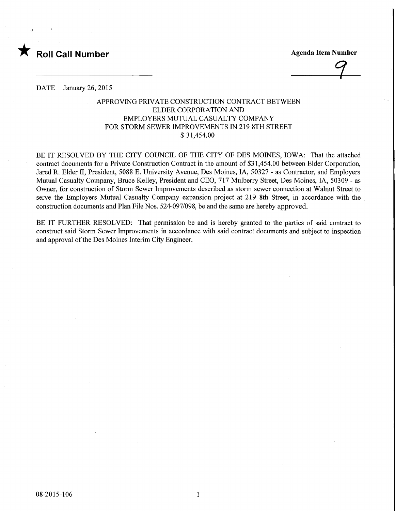

9

DATE January 26, 2015

## APPROVING PRIVATE CONSTRUCTION CONTRACT BETWEEN ELDER CORPORATION AND EMPLOYERS MUTUAL CASUALTY COMPANY FOR STORM SEWER IMPROVEMENTS IN 219 8TH STREET \$ 31,454.00

BE IT RESOLVED BY THE CITY COUNCIL OF THE CITY OF DES MOINES, IOWA: That the attached contract documents for a Private Construction Contract in the amount of \$31,454.00 between Elder Corporation, Jared R. Elder II, President, 5088 E. University Avenue, Des Moines, IA, 50327 - as Contractor, and Employers Mutual Casualty Company, Bruce Kelley, President and CEO, 717 Mulberry Street, Des Moines, IA, 50309 - as Owner, for construction of Storm Sewer Improvements described as storm sewer connection at Walnut Street to serve the Employers Mutual Casualty Company expansion project at 219 8th Street, in accordance with the construction documents and Plan File Nos. 524-097/098, be and the same are hereby approved.

BE IT FURTHER RESOLVED: That permission be and is hereby granted to the parties of said contract to construct said Storm Sewer Improvements in accordance with said contract documents and subject to inspection and approval of the Des Moines Interim City Engineer.

 $\mathbf{1}$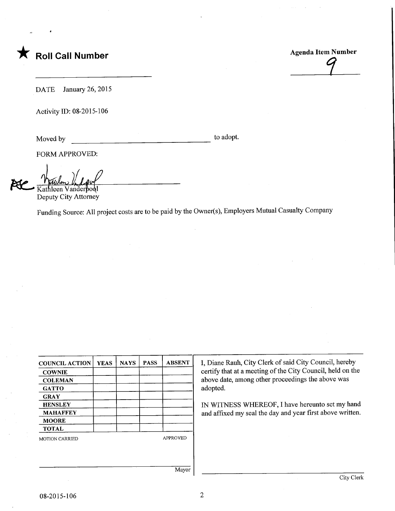

1

DATE January 26, 2015

Activity ID: 08-2015-106

Moved by to adopt.

FORM APPROVED:

Kathleen Vanderpool

Deputy City Attorney

Funding Source: All project costs are to be paid by the Owner(s), Employers Mutual Casualty Company

| <b>COUNCIL ACTION</b> | <b>YEAS</b> | <b>NAYS</b> | <b>PASS</b> | <b>ABSENT</b>   |
|-----------------------|-------------|-------------|-------------|-----------------|
| <b>COWNIE</b>         |             |             |             |                 |
| <b>COLEMAN</b>        |             |             |             |                 |
| <b>GATTO</b>          |             |             |             |                 |
| <b>GRAY</b>           |             |             |             |                 |
| <b>HENSLEY</b>        |             |             |             |                 |
| <b>MAHAFFEY</b>       |             |             |             |                 |
| <b>MOORE</b>          |             |             |             |                 |
| <b>TOTAL</b>          |             |             |             |                 |
| <b>MOTION CARRIED</b> |             |             |             | <b>APPROVED</b> |
|                       |             |             |             |                 |

I, Diane Rauh, City Clerk of said City Council, hereby certify that at a meeting of the City Council, held on the above date, among other proceedings the above was adopted.

IN WITNESS WHEREOF, I have hereunto set my hand and affixed my seal the day and year first above written.

Mayor